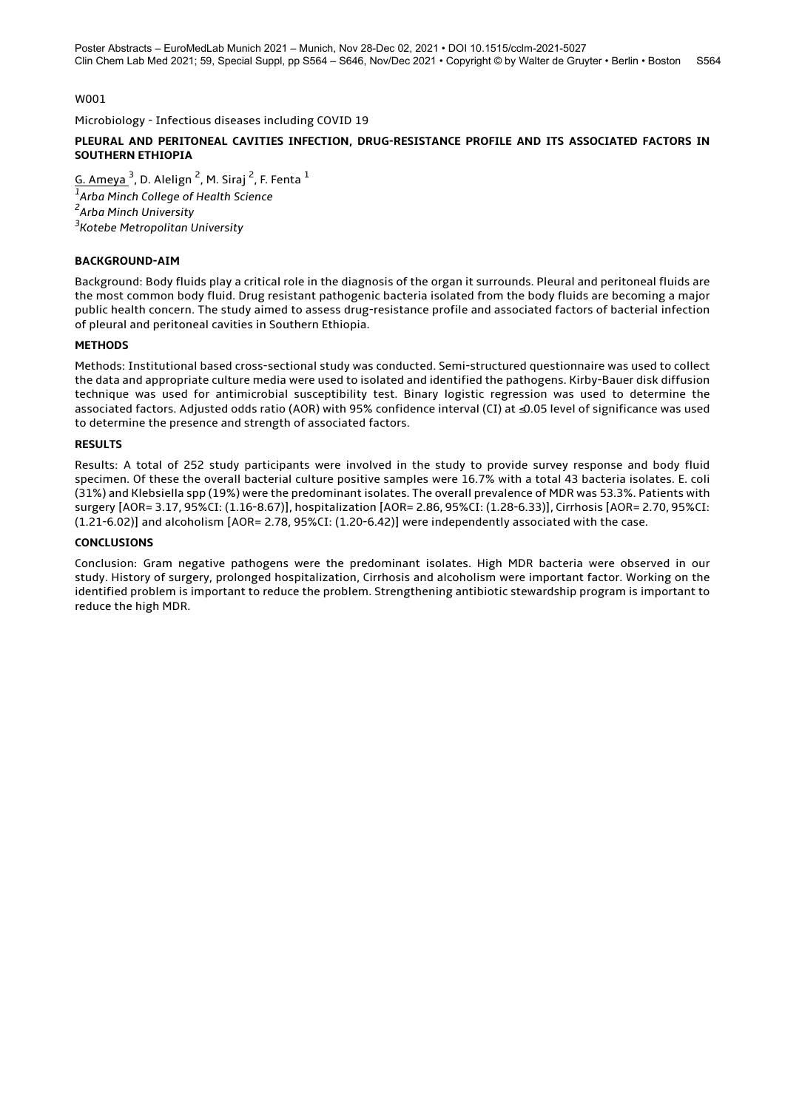Microbiology - Infectious diseases including COVID 19

### **PLEURAL AND PERITONEAL CAVITIES INFECTION, DRUG-RESISTANCE PROFILE AND ITS ASSOCIATED FACTORS IN SOUTHERN ETHIOPIA**

<u>G. Ameya  $^3$ ,</u> D. Alelign  $^2$ , M. Siraj  $^2$ , F. Fenta  $^1$  *Arba Minch College of Health Science Arba Minch University Kotebe Metropolitan University*

### **BACKGROUND-AIM**

Background: Body fluids play a critical role in the diagnosis of the organ it surrounds. Pleural and peritoneal fluids are the most common body fluid. Drug resistant pathogenic bacteria isolated from the body fluids are becoming a major public health concern. The study aimed to assess drug-resistance profile and associated factors of bacterial infection of pleural and peritoneal cavities in Southern Ethiopia.

### **METHODS**

Methods: Institutional based cross-sectional study was conducted. Semi-structured questionnaire was used to collect the data and appropriate culture media were used to isolated and identified the pathogens. Kirby-Bauer disk diffusion technique was used for antimicrobial susceptibility test. Binary logistic regression was used to determine the associated factors. Adjusted odds ratio (AOR) with 95% confidence interval (CI) at ≤0.05 level of significance was used to determine the presence and strength of associated factors.

#### **RESULTS**

Results: A total of 252 study participants were involved in the study to provide survey response and body fluid specimen. Of these the overall bacterial culture positive samples were 16.7% with a total 43 bacteria isolates. E. coli (31%) and Klebsiella spp (19%) were the predominant isolates. The overall prevalence of MDR was 53.3%. Patients with surgery [AOR= 3.17, 95%CI: (1.16-8.67)], hospitalization [AOR= 2.86, 95%CI: (1.28-6.33)], Cirrhosis [AOR= 2.70, 95%CI: (1.21-6.02)] and alcoholism [AOR= 2.78, 95%CI: (1.20-6.42)] were independently associated with the case.

### **CONCLUSIONS**

Conclusion: Gram negative pathogens were the predominant isolates. High MDR bacteria were observed in our study. History of surgery, prolonged hospitalization, Cirrhosis and alcoholism were important factor. Working on the identified problem is important to reduce the problem. Strengthening antibiotic stewardship program is important to reduce the high MDR.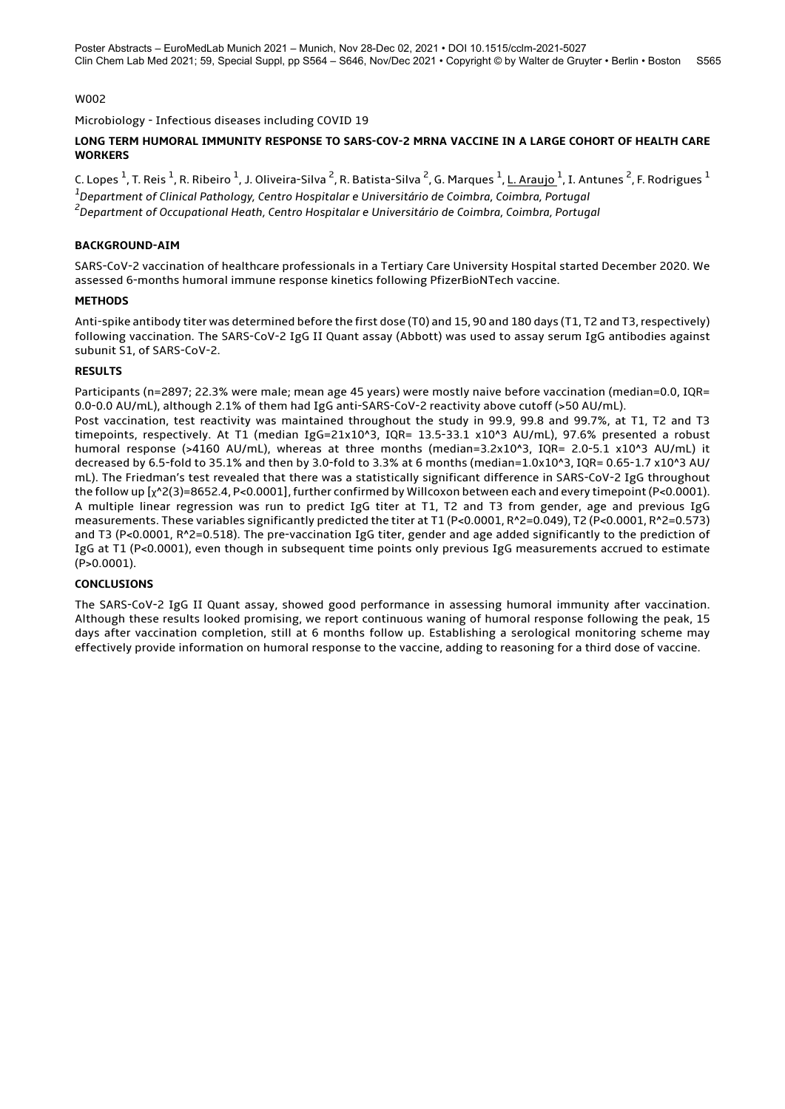Microbiology - Infectious diseases including COVID 19

### **LONG TERM HUMORAL IMMUNITY RESPONSE TO SARS-COV-2 MRNA VACCINE IN A LARGE COHORT OF HEALTH CARE WORKERS**

C. Lopes <sup>1</sup>, T. Reis <sup>1</sup>, R. Ribeiro <sup>1</sup>, J. Oliveira-Silva <sup>2</sup>, R. Batista-Silva <sup>2</sup>, G. Marques <sup>1</sup>, <u>L. Araujo <sup>1</sup>, I. Antunes <sup>2</sup>, F. Rodrigues <sup>1</sup></u> *1 Department of Clinical Pathology, Centro Hospitalar e Universitário de Coimbra, Coimbra, Portugal 2 Department of Occupational Heath, Centro Hospitalar e Universitário de Coimbra, Coimbra, Portugal*

### **BACKGROUND-AIM**

SARS-CoV-2 vaccination of healthcare professionals in a Tertiary Care University Hospital started December 2020. We assessed 6-months humoral immune response kinetics following PfizerBioNTech vaccine.

### **METHODS**

Anti-spike antibody titer was determined before the first dose (T0) and 15, 90 and 180 days (T1, T2 and T3, respectively) following vaccination. The SARS-CoV-2 IgG II Quant assay (Abbott) was used to assay serum IgG antibodies against subunit S1, of SARS-CoV-2.

# **RESULTS**

Participants (n=2897; 22.3% were male; mean age 45 years) were mostly naive before vaccination (median=0.0, IQR= 0.0-0.0 AU/mL), although 2.1% of them had IgG anti-SARS-CoV-2 reactivity above cutoff (>50 AU/mL).

Post vaccination, test reactivity was maintained throughout the study in 99.9, 99.8 and 99.7%, at T1, T2 and T3 timepoints, respectively. At T1 (median IgG=21x10^3, IQR= 13.5-33.1 x10^3 AU/mL), 97.6% presented a robust humoral response (>4160 AU/mL), whereas at three months (median=3.2x10^3, IQR= 2.0-5.1 x10^3 AU/mL) it decreased by 6.5-fold to 35.1% and then by 3.0-fold to 3.3% at 6 months (median=1.0x10^3, IQR= 0.65-1.7 x10^3 AU/ mL). The Friedman's test revealed that there was a statistically significant difference in SARS-CoV-2 IgG throughout the follow up [χ^2(3)=8652.4, P<0.0001], further confirmed by Willcoxon between each and every timepoint (P<0.0001). A multiple linear regression was run to predict IgG titer at T1, T2 and T3 from gender, age and previous IgG measurements. These variables significantly predicted the titer at T1 (P<0.0001, R^2=0.049), T2 (P<0.0001, R^2=0.573) and T3 (P<0.0001, R^2=0.518). The pre-vaccination IgG titer, gender and age added significantly to the prediction of IgG at T1 (P<0.0001), even though in subsequent time points only previous IgG measurements accrued to estimate (P>0.0001).

# **CONCLUSIONS**

The SARS-CoV-2 IgG II Quant assay, showed good performance in assessing humoral immunity after vaccination. Although these results looked promising, we report continuous waning of humoral response following the peak, 15 days after vaccination completion, still at 6 months follow up. Establishing a serological monitoring scheme may effectively provide information on humoral response to the vaccine, adding to reasoning for a third dose of vaccine.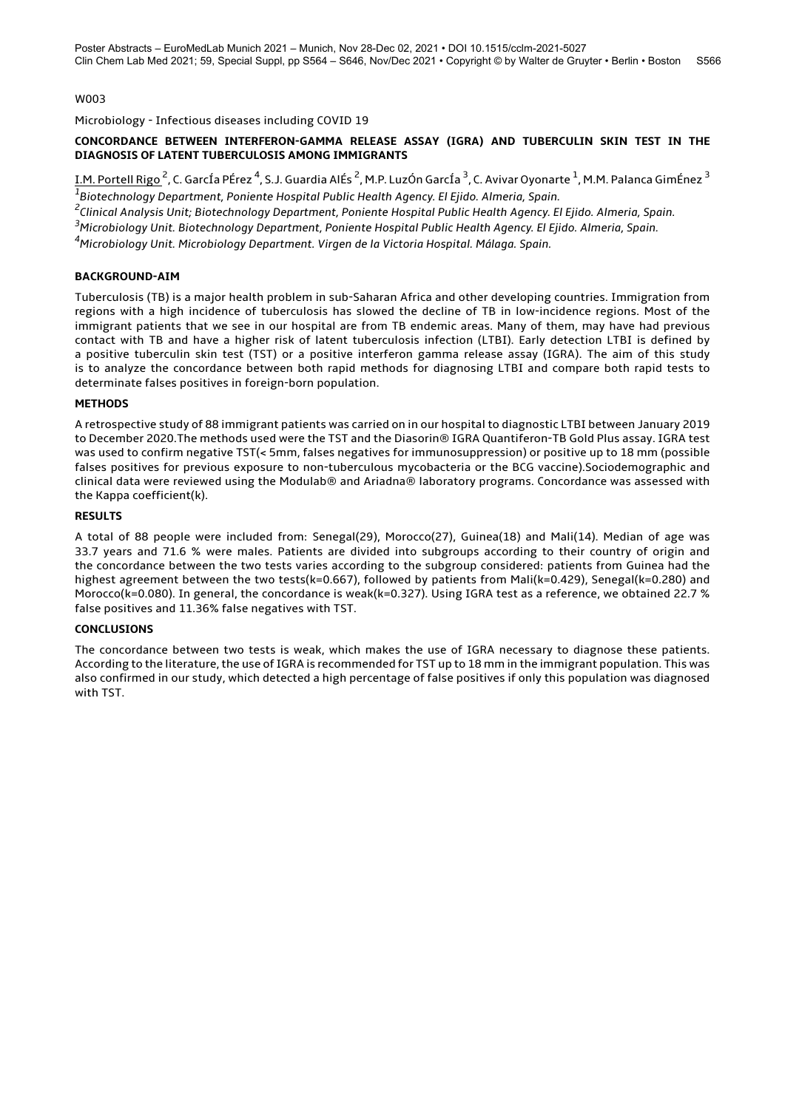Microbiology - Infectious diseases including COVID 19

#### **CONCORDANCE BETWEEN INTERFERON-GAMMA RELEASE ASSAY (IGRA) AND TUBERCULIN SKIN TEST IN THE DIAGNOSIS OF LATENT TUBERCULOSIS AMONG IMMIGRANTS**

<u>I.M. Portell Rigo <sup>2</sup>,</u> C. GarcÍa PÉrez <sup>4</sup>, S.J. Guardia AlÉs <sup>2</sup>, M.P. LuzÓn GarcÍa <sup>3</sup>, C. Avivar Oyonarte <sup>1</sup>, M.M. Palanca GimÉnez <sup>3</sup> *1 Biotechnology Department, Poniente Hospital Public Health Agency. El Ejido. Almeria, Spain.*

*2 Clinical Analysis Unit; Biotechnology Department, Poniente Hospital Public Health Agency. El Ejido. Almeria, Spain.*

*<sup>3</sup>Microbiology Unit. Biotechnology Department, Poniente Hospital Public Health Agency. El Ejido. Almeria, Spain.*

*<sup>4</sup>Microbiology Unit. Microbiology Department. Virgen de la Victoria Hospital. Málaga. Spain.*

### **BACKGROUND-AIM**

Tuberculosis (TB) is a major health problem in sub-Saharan Africa and other developing countries. Immigration from regions with a high incidence of tuberculosis has slowed the decline of TB in low-incidence regions. Most of the immigrant patients that we see in our hospital are from TB endemic areas. Many of them, may have had previous contact with TB and have a higher risk of latent tuberculosis infection (LTBI). Early detection LTBI is defined by a positive tuberculin skin test (TST) or a positive interferon gamma release assay (IGRA). The aim of this study is to analyze the concordance between both rapid methods for diagnosing LTBI and compare both rapid tests to determinate falses positives in foreign-born population.

### **METHODS**

A retrospective study of 88 immigrant patients was carried on in our hospital to diagnostic LTBI between January 2019 to December 2020.The methods used were the TST and the Diasorin® IGRA Quantiferon-TB Gold Plus assay. IGRA test was used to confirm negative TST(< 5mm, falses negatives for immunosuppression) or positive up to 18 mm (possible falses positives for previous exposure to non-tuberculous mycobacteria or the BCG vaccine).Sociodemographic and clinical data were reviewed using the Modulab® and Ariadna® laboratory programs. Concordance was assessed with the Kappa coefficient(k).

### **RESULTS**

A total of 88 people were included from: Senegal(29), Morocco(27), Guinea(18) and Mali(14). Median of age was 33.7 years and 71.6 % were males. Patients are divided into subgroups according to their country of origin and the concordance between the two tests varies according to the subgroup considered: patients from Guinea had the highest agreement between the two tests(k=0.667), followed by patients from Mali(k=0.429), Senegal(k=0.280) and Morocco(k=0.080). In general, the concordance is weak(k=0.327). Using IGRA test as a reference, we obtained 22.7 % false positives and 11.36% false negatives with TST.

#### **CONCLUSIONS**

The concordance between two tests is weak, which makes the use of IGRA necessary to diagnose these patients. According to the literature, the use of IGRA is recommended for TST up to 18 mm in the immigrant population. This was also confirmed in our study, which detected a high percentage of false positives if only this population was diagnosed with TST.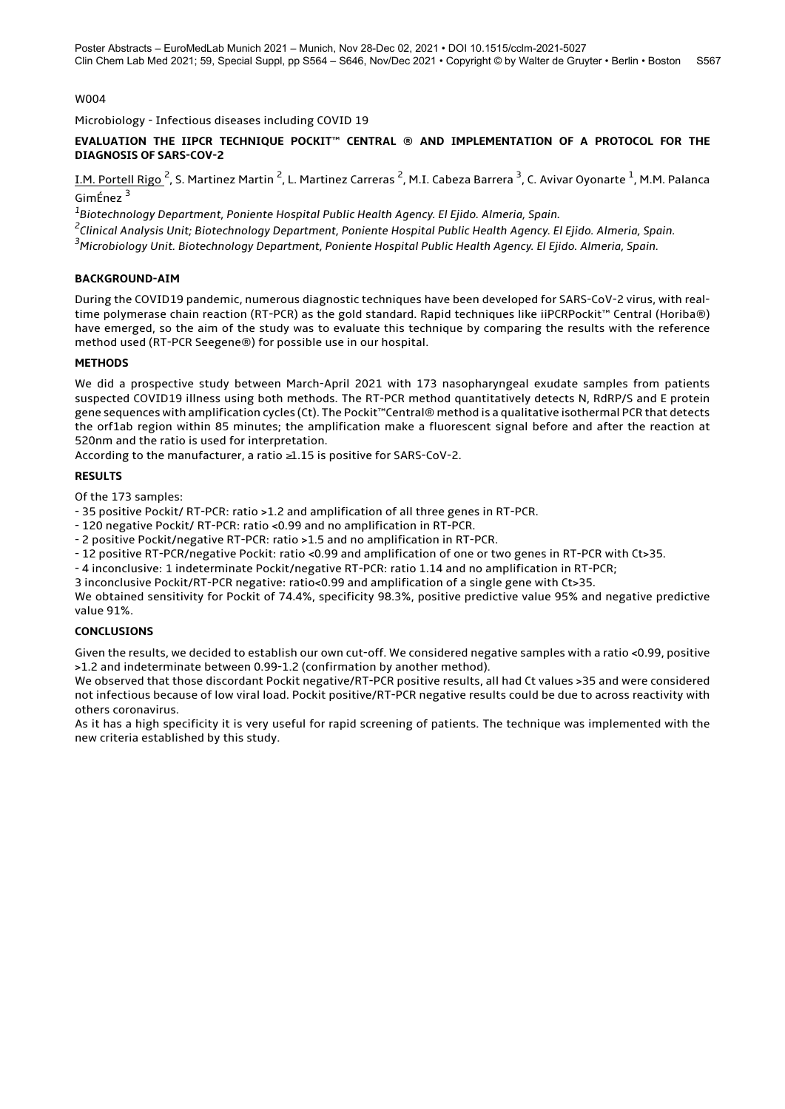Microbiology - Infectious diseases including COVID 19

### **EVALUATION THE IIPCR TECHNIQUE POCKIT™ CENTRAL ® AND IMPLEMENTATION OF A PROTOCOL FOR THE DIAGNOSIS OF SARS-COV-2**

<u>I.M. Portell Rigo <sup>2</sup>,</u> S. Martinez Martin <sup>2</sup>, L. Martinez Carreras <sup>2</sup>, M.I. Cabeza Barrera <sup>3</sup>, C. Avivar Oyonarte <sup>1</sup>, M.M. Palanca GimÉnez <sup>3</sup>

*1 Biotechnology Department, Poniente Hospital Public Health Agency. El Ejido. Almeria, Spain.*

*2 Clinical Analysis Unit; Biotechnology Department, Poniente Hospital Public Health Agency. El Ejido. Almeria, Spain.*

*<sup>3</sup>Microbiology Unit. Biotechnology Department, Poniente Hospital Public Health Agency. El Ejido. Almeria, Spain.*

# **BACKGROUND-AIM**

During the COVID19 pandemic, numerous diagnostic techniques have been developed for SARS-CoV-2 virus, with realtime polymerase chain reaction (RT-PCR) as the gold standard. Rapid techniques like iiPCRPockit™ Central (Horiba®) have emerged, so the aim of the study was to evaluate this technique by comparing the results with the reference method used (RT-PCR Seegene®) for possible use in our hospital.

# **METHODS**

We did a prospective study between March-April 2021 with 173 nasopharyngeal exudate samples from patients suspected COVID19 illness using both methods. The RT-PCR method quantitatively detects N, RdRP/S and E protein gene sequences with amplification cycles (Ct). The Pockit™Central® method is a qualitative isothermal PCR that detects the orf1ab region within 85 minutes; the amplification make a fluorescent signal before and after the reaction at 520nm and the ratio is used for interpretation.

According to the manufacturer, a ratio ≥1.15 is positive for SARS-CoV-2.

# **RESULTS**

Of the 173 samples:

- 35 positive Pockit/ RT-PCR: ratio >1.2 and amplification of all three genes in RT-PCR.

- 120 negative Pockit/ RT-PCR: ratio <0.99 and no amplification in RT-PCR.

- 2 positive Pockit/negative RT-PCR: ratio >1.5 and no amplification in RT-PCR.

- 12 positive RT-PCR/negative Pockit: ratio <0.99 and amplification of one or two genes in RT-PCR with Ct>35.

- 4 inconclusive: 1 indeterminate Pockit/negative RT-PCR: ratio 1.14 and no amplification in RT-PCR;

3 inconclusive Pockit/RT-PCR negative: ratio<0.99 and amplification of a single gene with Ct>35.

We obtained sensitivity for Pockit of 74.4%, specificity 98.3%, positive predictive value 95% and negative predictive value 91%.

# **CONCLUSIONS**

Given the results, we decided to establish our own cut-off. We considered negative samples with a ratio <0.99, positive >1.2 and indeterminate between 0.99-1.2 (confirmation by another method).

We observed that those discordant Pockit negative/RT-PCR positive results, all had Ct values >35 and were considered not infectious because of low viral load. Pockit positive/RT-PCR negative results could be due to across reactivity with others coronavirus.

As it has a high specificity it is very useful for rapid screening of patients. The technique was implemented with the new criteria established by this study.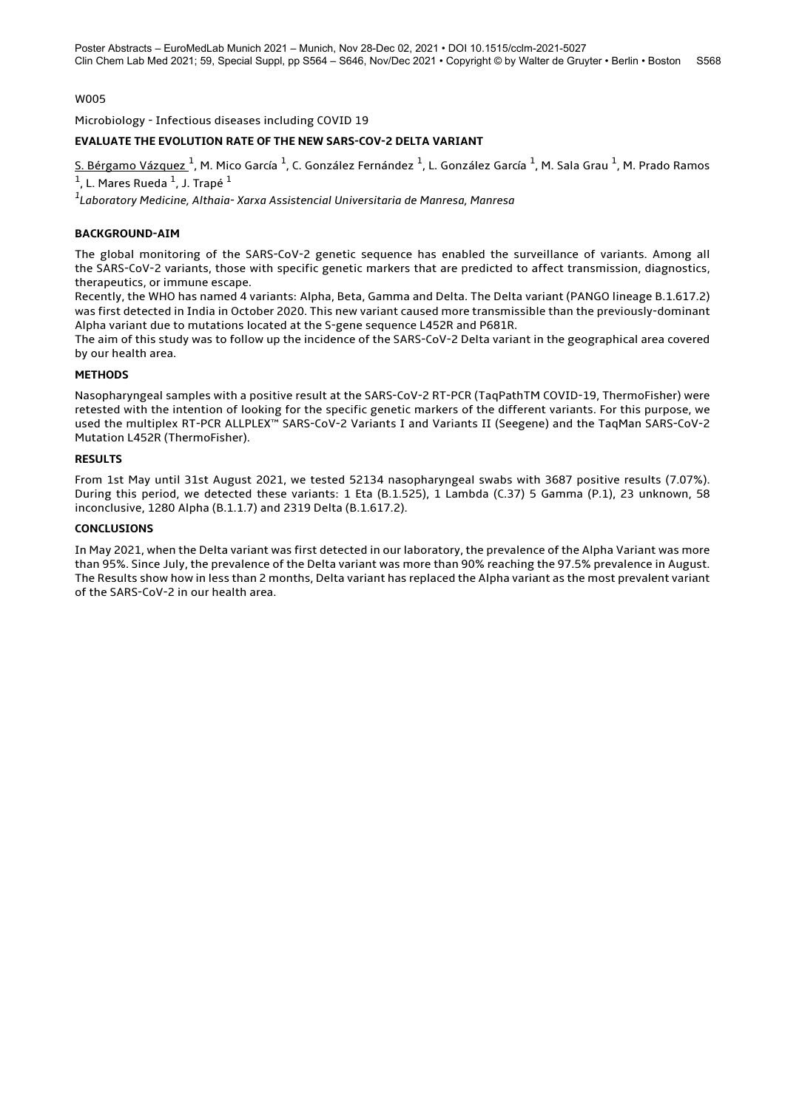Microbiology - Infectious diseases including COVID 19

# **EVALUATE THE EVOLUTION RATE OF THE NEW SARS-COV-2 DELTA VARIANT**

<u>S. Bérgamo Vázquez <sup>1</sup>,</u> M. Mico García <sup>1</sup>, C. González Fernández <sup>1</sup>, L. González García <sup>1</sup>, M. Sala Grau <sup>1</sup>, M. Prado Ramos  $^1$ , L. Mares Rueda  $^1$ , J. Trapé  $^1$ 

*1 Laboratory Medicine, Althaia- Xarxa Assistencial Universitaria de Manresa, Manresa*

#### **BACKGROUND-AIM**

The global monitoring of the SARS-CoV-2 genetic sequence has enabled the surveillance of variants. Among all the SARS-CoV-2 variants, those with specific genetic markers that are predicted to affect transmission, diagnostics, therapeutics, or immune escape.

Recently, the WHO has named 4 variants: Alpha, Beta, Gamma and Delta. The Delta variant (PANGO lineage B.1.617.2) was first detected in India in October 2020. This new variant caused more transmissible than the previously-dominant Alpha variant due to mutations located at the S-gene sequence L452R and P681R.

The aim of this study was to follow up the incidence of the SARS-CoV-2 Delta variant in the geographical area covered by our health area.

### **METHODS**

Nasopharyngeal samples with a positive result at the SARS-CoV-2 RT-PCR (TaqPathTM COVID-19, ThermoFisher) were retested with the intention of looking for the specific genetic markers of the different variants. For this purpose, we used the multiplex RT-PCR ALLPLEX™ SARS-CoV-2 Variants I and Variants II (Seegene) and the TaqMan SARS-CoV-2 Mutation L452R (ThermoFisher).

### **RESULTS**

From 1st May until 31st August 2021, we tested 52134 nasopharyngeal swabs with 3687 positive results (7.07%). During this period, we detected these variants: 1 Eta (B.1.525), 1 Lambda (C.37) 5 Gamma (P.1), 23 unknown, 58 inconclusive, 1280 Alpha (B.1.1.7) and 2319 Delta (B.1.617.2).

### **CONCLUSIONS**

In May 2021, when the Delta variant was first detected in our laboratory, the prevalence of the Alpha Variant was more than 95%. Since July, the prevalence of the Delta variant was more than 90% reaching the 97.5% prevalence in August. The Results show how in less than 2 months, Delta variant has replaced the Alpha variant as the most prevalent variant of the SARS-CoV-2 in our health area.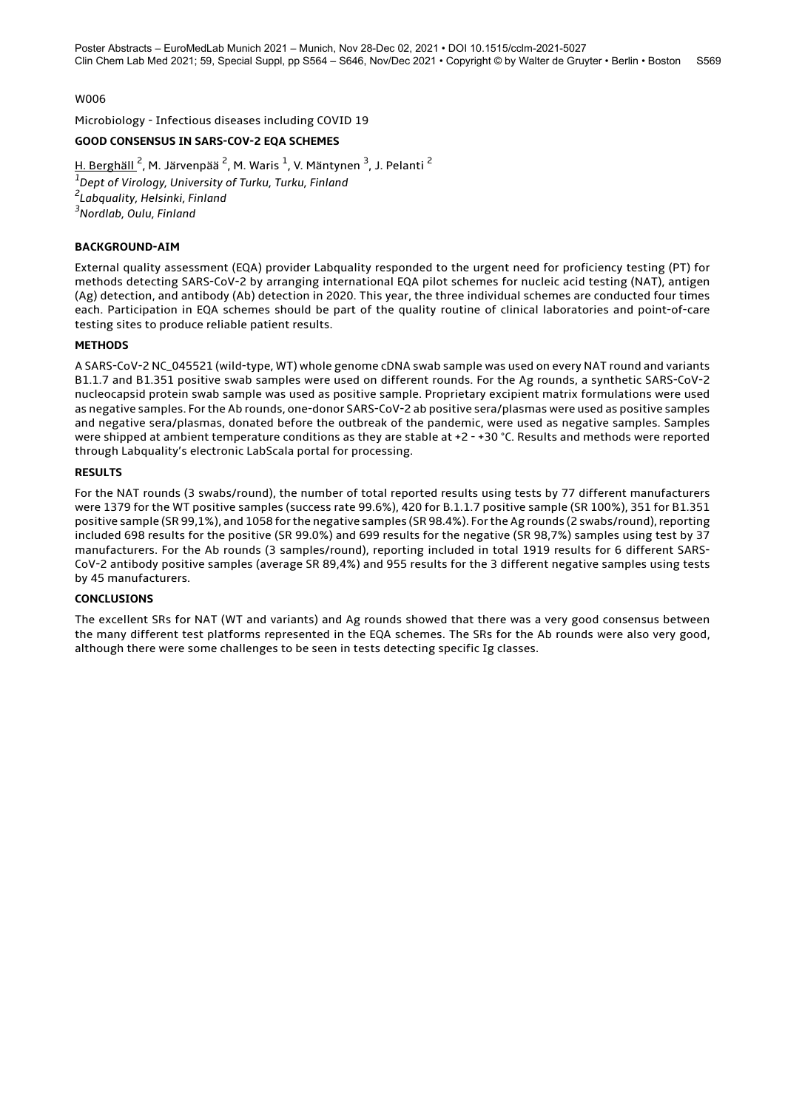Microbiology - Infectious diseases including COVID 19

# **GOOD CONSENSUS IN SARS-COV-2 EQA SCHEMES**

<u>H. Berghäll <sup>2</sup>,</u> M. Järvenpää <sup>2</sup>, M. Waris <sup>1</sup>, V. Mäntynen <sup>3</sup>, J. Pelanti <sup>2</sup> *Dept of Virology, University of Turku, Turku, Finland Labquality, Helsinki, Finland Nordlab, Oulu, Finland*

### **BACKGROUND-AIM**

External quality assessment (EQA) provider Labquality responded to the urgent need for proficiency testing (PT) for methods detecting SARS-CoV-2 by arranging international EQA pilot schemes for nucleic acid testing (NAT), antigen (Ag) detection, and antibody (Ab) detection in 2020. This year, the three individual schemes are conducted four times each. Participation in EQA schemes should be part of the quality routine of clinical laboratories and point-of-care testing sites to produce reliable patient results.

#### **METHODS**

A SARS-CoV-2 NC\_045521 (wild-type, WT) whole genome cDNA swab sample was used on every NAT round and variants B1.1.7 and B1.351 positive swab samples were used on different rounds. For the Ag rounds, a synthetic SARS-CoV-2 nucleocapsid protein swab sample was used as positive sample. Proprietary excipient matrix formulations were used as negative samples. For the Ab rounds, one-donor SARS-CoV-2 ab positive sera/plasmas were used as positive samples and negative sera/plasmas, donated before the outbreak of the pandemic, were used as negative samples. Samples were shipped at ambient temperature conditions as they are stable at +2 - +30 °C. Results and methods were reported through Labquality's electronic LabScala portal for processing.

#### **RESULTS**

For the NAT rounds (3 swabs/round), the number of total reported results using tests by 77 different manufacturers were 1379 for the WT positive samples (success rate 99.6%), 420 for B.1.1.7 positive sample (SR 100%), 351 for B1.351 positive sample (SR 99,1%), and 1058 for the negative samples (SR 98.4%). For the Ag rounds (2 swabs/round), reporting included 698 results for the positive (SR 99.0%) and 699 results for the negative (SR 98,7%) samples using test by 37 manufacturers. For the Ab rounds (3 samples/round), reporting included in total 1919 results for 6 different SARS-CoV-2 antibody positive samples (average SR 89,4%) and 955 results for the 3 different negative samples using tests by 45 manufacturers.

# **CONCLUSIONS**

The excellent SRs for NAT (WT and variants) and Ag rounds showed that there was a very good consensus between the many different test platforms represented in the EQA schemes. The SRs for the Ab rounds were also very good, although there were some challenges to be seen in tests detecting specific Ig classes.